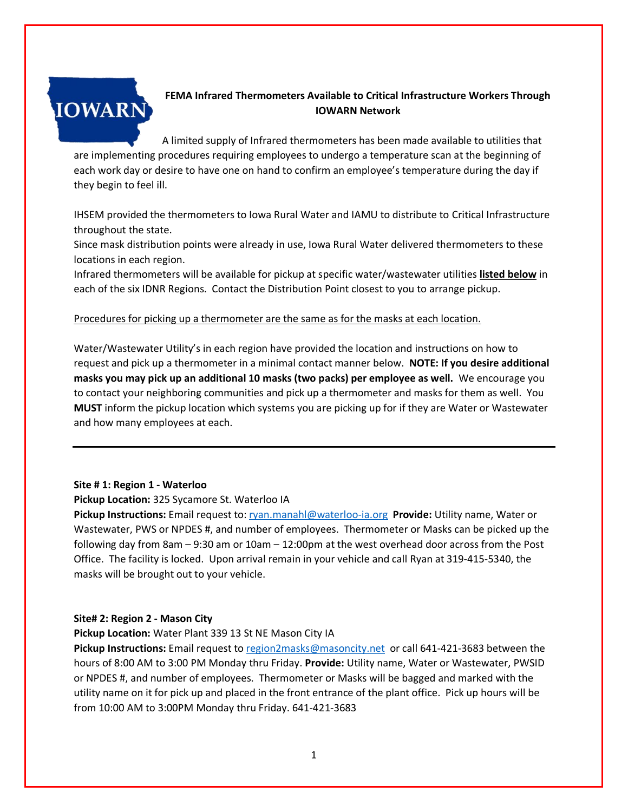

# **FEMA Infrared Thermometers Available to Critical Infrastructure Workers Through IOWARN Network**

A limited supply of Infrared thermometers has been made available to utilities that are implementing procedures requiring employees to undergo a temperature scan at the beginning of each work day or desire to have one on hand to confirm an employee's temperature during the day if they begin to feel ill.

IHSEM provided the thermometers to Iowa Rural Water and IAMU to distribute to Critical Infrastructure throughout the state.

Since mask distribution points were already in use, Iowa Rural Water delivered thermometers to these locations in each region.

Infrared thermometers will be available for pickup at specific water/wastewater utilities **listed below** in each of the six IDNR Regions. Contact the Distribution Point closest to you to arrange pickup.

# Procedures for picking up a thermometer are the same as for the masks at each location.

Water/Wastewater Utility's in each region have provided the location and instructions on how to request and pick up a thermometer in a minimal contact manner below. **NOTE: If you desire additional masks you may pick up an additional 10 masks (two packs) per employee as well.** We encourage you to contact your neighboring communities and pick up a thermometer and masks for them as well. You **MUST** inform the pickup location which systems you are picking up for if they are Water or Wastewater and how many employees at each.

## **Site # 1: Region 1 - Waterloo**

**Pickup Location:** 325 Sycamore St. Waterloo IA

**Pickup Instructions:** Email request to: [ryan.manahl@waterloo-ia.org](mailto:ryan.manahl@waterloo-ia.org) **Provide:** Utility name, Water or Wastewater, PWS or NPDES #, and number of employees. Thermometer or Masks can be picked up the following day from 8am – 9:30 am or 10am – 12:00pm at the west overhead door across from the Post Office. The facility is locked. Upon arrival remain in your vehicle and call Ryan at 319-415-5340, the masks will be brought out to your vehicle.

## **Site# 2: Region 2 - Mason City**

**Pickup Location:** Water Plant 339 13 St NE Mason City IA

**Pickup Instructions:** Email request to [region2masks@masoncity.net](mailto:region2masks@masoncity.net) or call 641-421-3683 between the hours of 8:00 AM to 3:00 PM Monday thru Friday. **Provide:** Utility name, Water or Wastewater, PWSID or NPDES #, and number of employees. Thermometer or Masks will be bagged and marked with the utility name on it for pick up and placed in the front entrance of the plant office. Pick up hours will be from 10:00 AM to 3:00PM Monday thru Friday. 641-421-3683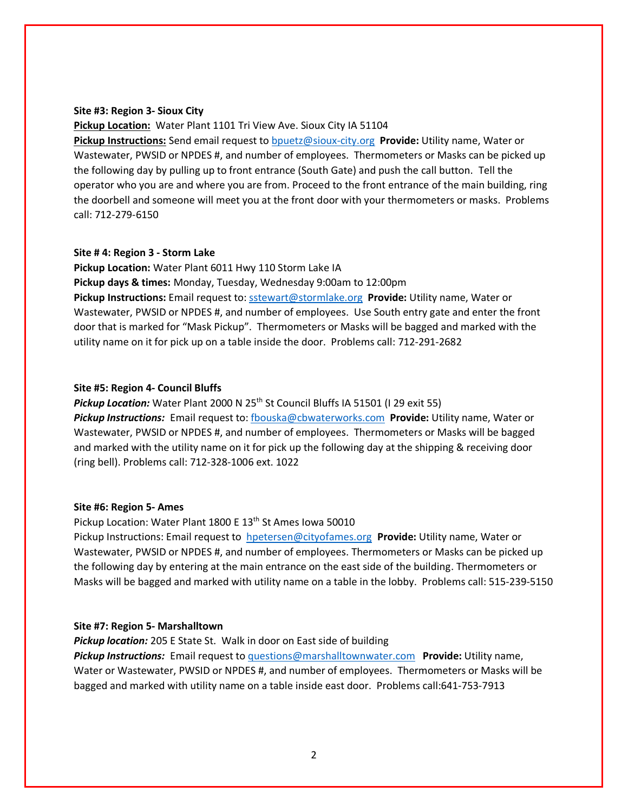#### **Site #3: Region 3- Sioux City**

**Pickup Location:** Water Plant 1101 Tri View Ave. Sioux City IA 51104

**Pickup Instructions:** Send email request to [bpuetz@sioux-city.org](mailto:bpuetz@sioux-city.org) **Provide:** Utility name, Water or Wastewater, PWSID or NPDES #, and number of employees. Thermometers or Masks can be picked up the following day by pulling up to front entrance (South Gate) and push the call button. Tell the operator who you are and where you are from. Proceed to the front entrance of the main building, ring the doorbell and someone will meet you at the front door with your thermometers or masks. Problems call: 712-279-6150

### **Site # 4: Region 3 - Storm Lake**

**Pickup Location:** Water Plant 6011 Hwy 110 Storm Lake IA **Pickup days & times:** Monday, Tuesday, Wednesday 9:00am to 12:00pm **Pickup Instructions:** Email request to: [sstewart@stormlake.org](mailto:sstewart@stormlake.org) **Provide:** Utility name, Water or Wastewater, PWSID or NPDES #, and number of employees. Use South entry gate and enter the front door that is marked for "Mask Pickup". Thermometers or Masks will be bagged and marked with the utility name on it for pick up on a table inside the door. Problems call: 712-291-2682

#### **Site #5: Region 4- Council Bluffs**

**Pickup Location:** Water Plant 2000 N 25<sup>th</sup> St Council Bluffs IA 51501 (I 29 exit 55) *Pickup Instructions:* Email request to: [fbouska@cbwaterworks.com](mailto:fbouska@cbwaterworks.com) **Provide:** Utility name, Water or Wastewater, PWSID or NPDES #, and number of employees. Thermometers or Masks will be bagged and marked with the utility name on it for pick up the following day at the shipping & receiving door (ring bell). Problems call: 712-328-1006 ext. 1022

### **Site #6: Region 5- Ames**

Pickup Location: Water Plant 1800 E 13<sup>th</sup> St Ames Iowa 50010

Pickup Instructions: Email request to [hpetersen@cityofames.org](mailto:hpetersen@cityofames.org) **Provide:** Utility name, Water or Wastewater, PWSID or NPDES #, and number of employees. Thermometers or Masks can be picked up the following day by entering at the main entrance on the east side of the building. Thermometers or Masks will be bagged and marked with utility name on a table in the lobby. Problems call: 515-239-5150

#### **Site #7: Region 5- Marshalltown**

*Pickup location:* 205 E State St. Walk in door on East side of building

*Pickup Instructions:* Email request to [questions@marshalltownwater.com](mailto:questions@marshalltownwater.com) **Provide:** Utility name, Water or Wastewater, PWSID or NPDES #, and number of employees. Thermometers or Masks will be bagged and marked with utility name on a table inside east door. Problems call:641-753-7913